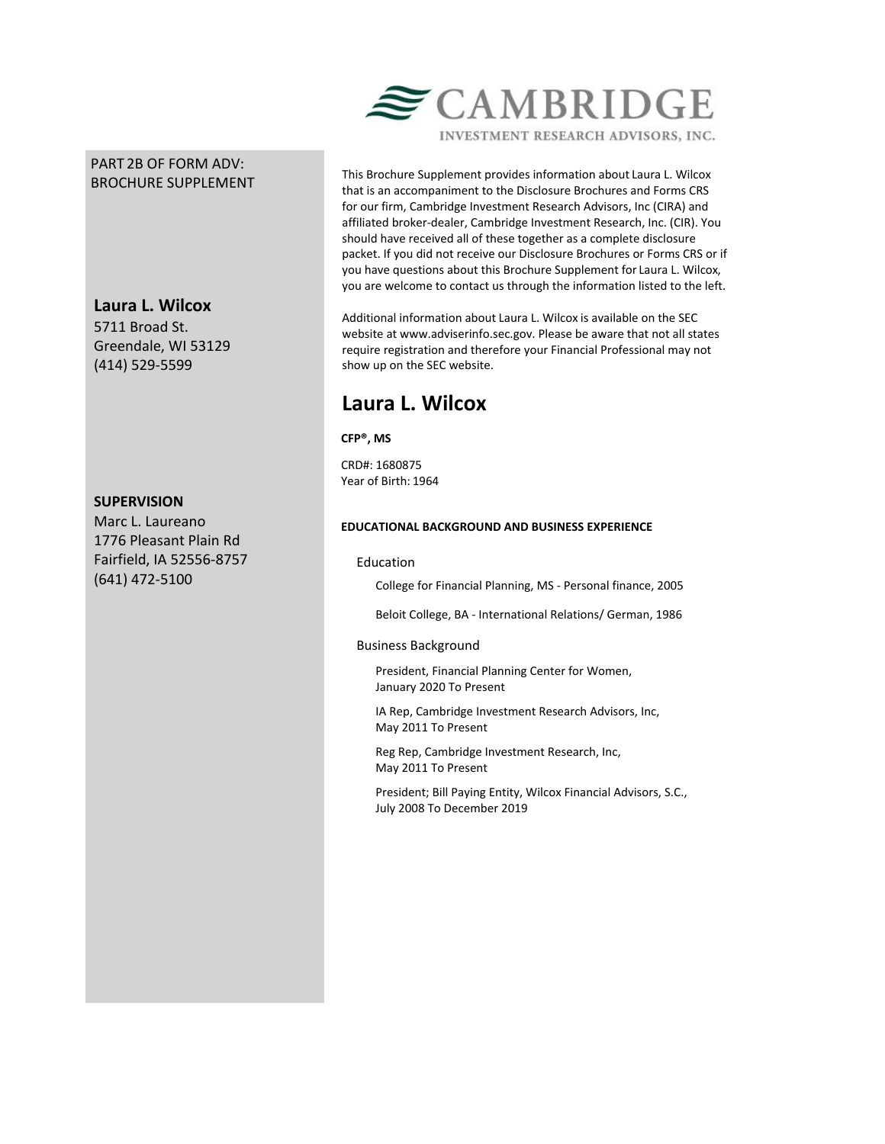## PART 2B OF FORM ADV: BROCHURE SUPPLEMENT

# **Laura L. Wilcox**

5711 Broad St. Greendale, WI 53129 (414) 529-5599

## **SUPERVISION**

Marc L. Laureano 1776 Pleasant Plain Rd Fairfield, IA 52556-8757 (641) 472-5100



This Brochure Supplement provides information about Laura L. Wilcox that is an accompaniment to the Disclosure Brochures and Forms CRS for our firm, Cambridge Investment Research Advisors, Inc (CIRA) and affiliated broker-dealer, Cambridge Investment Research, Inc. (CIR). You should have received all of these together as a complete disclosure packet. If you did not receive our Disclosure Brochures or Forms CRS or if you have questions about this Brochure Supplement for Laura L. Wilcox, you are welcome to contact us through the information listed to the left.

Additional information about Laura L. Wilcox is available on the SEC website at www.adviserinfo.sec.gov. Please be aware that not all states require registration and therefore your Financial Professional may not show up on the SEC website.

# **Laura L. Wilcox**

**CFP®, MS**

CRD#: 1680875 Year of Birth: 1964

## **EDUCATIONAL BACKGROUND AND BUSINESS EXPERIENCE**

## Education

College for Financial Planning, MS - Personal finance, 2005

Beloit College, BA - International Relations/ German, 1986

## Business Background

President, Financial Planning Center for Women, January 2020 To Present

IA Rep, Cambridge Investment Research Advisors, Inc, May 2011 To Present

Reg Rep, Cambridge Investment Research, Inc, May 2011 To Present

President; Bill Paying Entity, Wilcox Financial Advisors, S.C., July 2008 To December 2019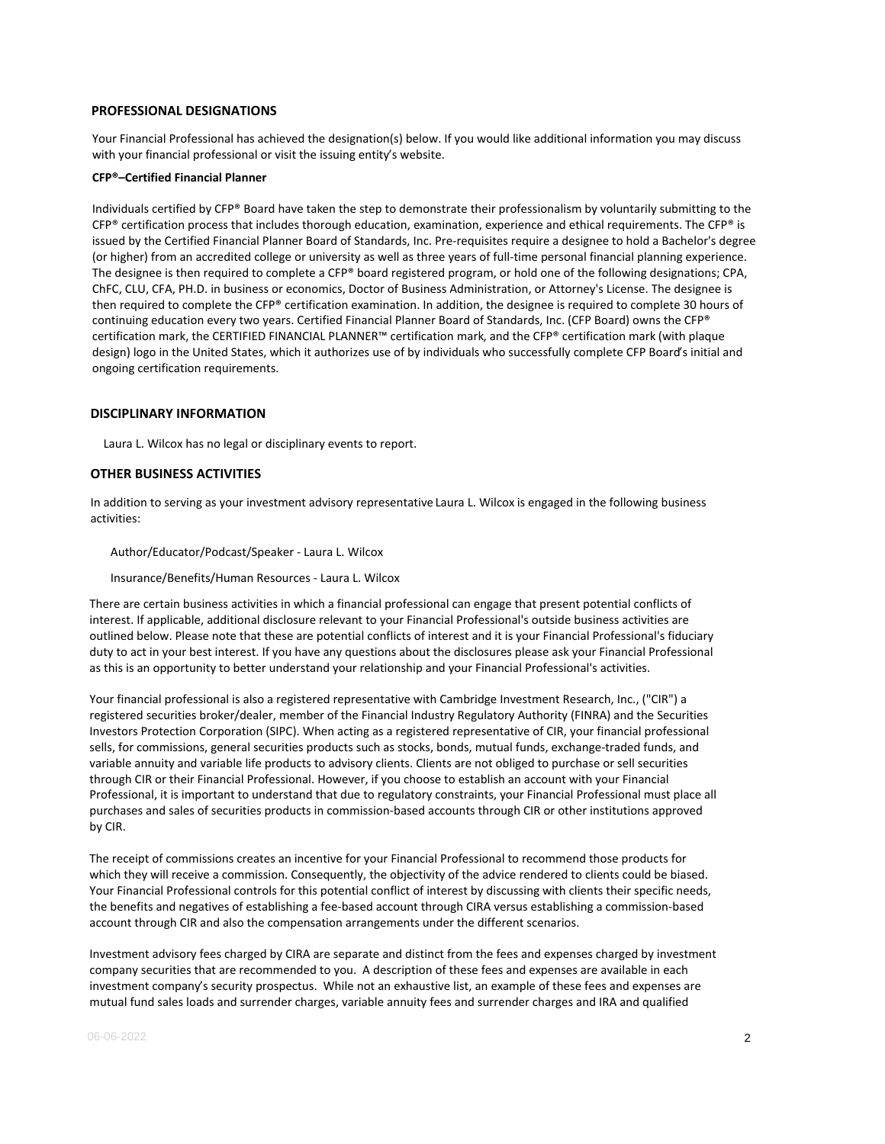#### **PROFESSIONAL DESIGNATIONS**

Your Financial Professional has achieved the designation(s) below. If you would like additional information you may discuss with your financial professional or visit the issuing entity's website.

#### **CFP®–Certified Financial Planner**

Individuals certified by CFP® Board have taken the step to demonstrate their professionalism by voluntarily submitting to the  $CFP<sup>®</sup>$  certification process that includes thorough education, examination, experience and ethical requirements. The  $CFP<sup>®</sup>$  is issued by the Certified Financial Planner Board of Standards, Inc. Pre-requisites require a designee to hold a Bachelor's degree (or higher) from an accredited college or university as well as three years of full-time personal financial planning experience. The designee is then required to complete a CFP® board registered program, or hold one of the following designations; CPA, ChFC, CLU, CFA, PH.D. in business or economics, Doctor of Business Administration, or Attorney's License. The designee is then required to complete the CFP® certification examination. In addition, the designee is required to complete 30 hours of continuing education every two years. Certified Financial Planner Board of Standards, Inc. (CFP Board) owns the CFP® certification mark, the CERTIFIED FINANCIAL PLANNER™ certification mark, and the CFP® certification mark (with plaque design) logo in the United States, which it authorizes use of by individuals who successfully complete CFP Board's initial and ongoing certification requirements.

#### **DISCIPLINARY INFORMATION**

Laura L. Wilcox has no legal or disciplinary events to report.

#### **OTHER BUSINESS ACTIVITIES**

In addition to serving as your investment advisory representative Laura L. Wilcox is engaged in the following business activities:

#### Author/Educator/Podcast/Speaker - Laura L. Wilcox

Insurance/Benefits/Human Resources - Laura L. Wilcox

There are certain business activities in which a financial professional can engage that present potential conflicts of interest. If applicable, additional disclosure relevant to your Financial Professional's outside business activities are outlined below. Please note that these are potential conflicts of interest and it is your Financial Professional's fiduciary duty to act in your best interest. If you have any questions about the disclosures please ask your Financial Professional as this is an opportunity to better understand your relationship and your Financial Professional's activities.

Your financial professional is also a registered representative with Cambridge Investment Research, Inc., ("CIR") a registered securities broker/dealer, member of the Financial Industry Regulatory Authority (FINRA) and the Securities Investors Protection Corporation (SIPC). When acting as a registered representative of CIR, your financial professional sells, for commissions, general securities products such as stocks, bonds, mutual funds, exchange-traded funds, and variable annuity and variable life products to advisory clients. Clients are not obliged to purchase or sell securities through CIR or their Financial Professional. However, if you choose to establish an account with your Financial Professional, it is important to understand that due to regulatory constraints, your Financial Professional must place all purchases and sales of securities products in commission-based accounts through CIR or other institutions approved by CIR.

The receipt of commissions creates an incentive for your Financial Professional to recommend those products for which they will receive a commission. Consequently, the objectivity of the advice rendered to clients could be biased. Your Financial Professional controls for this potential conflict of interest by discussing with clients their specific needs, the benefits and negatives of establishing a fee-based account through CIRA versus establishing a commission-based account through CIR and also the compensation arrangements under the different scenarios.

Investment advisory fees charged by CIRA are separate and distinct from the fees and expenses charged by investment company securities that are recommended to you. A description of these fees and expenses are available in each investment company's security prospectus. While not an exhaustive list, an example of these fees and expenses are mutual fund sales loads and surrender charges, variable annuity fees and surrender charges and IRA and qualified